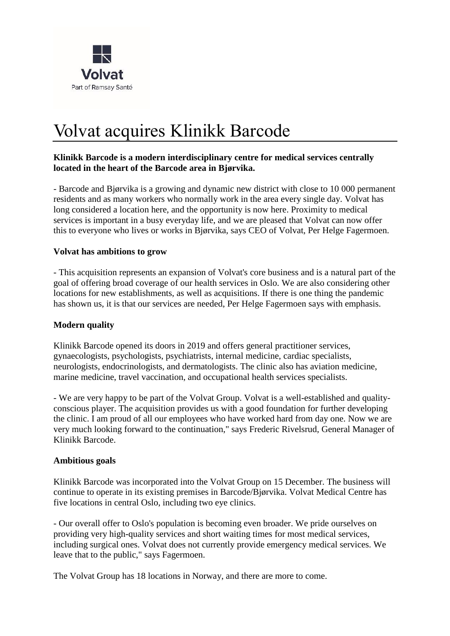

# Volvat acquires Klinikk Barcode

#### **Klinikk Barcode is a modern interdisciplinary centre for medical services centrally located in the heart of the Barcode area in Bjørvika.**

- Barcode and Bjørvika is a growing and dynamic new district with close to 10 000 permanent residents and as many workers who normally work in the area every single day. Volvat has long considered a location here, and the opportunity is now here. Proximity to medical services is important in a busy everyday life, and we are pleased that Volvat can now offer this to everyone who lives or works in Bjørvika, says CEO of Volvat, Per Helge Fagermoen.

#### **Volvat has ambitions to grow**

- This acquisition represents an expansion of Volvat's core business and is a natural part of the goal of offering broad coverage of our health services in Oslo. We are also considering other locations for new establishments, as well as acquisitions. If there is one thing the pandemic has shown us, it is that our services are needed, Per Helge Fagermoen says with emphasis.

#### **Modern quality**

Klinikk Barcode opened its doors in 2019 and offers general practitioner services, gynaecologists, psychologists, psychiatrists, internal medicine, cardiac specialists, neurologists, endocrinologists, and dermatologists. The clinic also has aviation medicine, marine medicine, travel vaccination, and occupational health services specialists.

- We are very happy to be part of the Volvat Group. Volvat is a well-established and qualityconscious player. The acquisition provides us with a good foundation for further developing the clinic. I am proud of all our employees who have worked hard from day one. Now we are very much looking forward to the continuation," says Frederic Rivelsrud, General Manager of Klinikk Barcode.

#### **Ambitious goals**

Klinikk Barcode was incorporated into the Volvat Group on 15 December. The business will continue to operate in its existing premises in Barcode/Bjørvika. Volvat Medical Centre has five locations in central Oslo, including two eye clinics.

- Our overall offer to Oslo's population is becoming even broader. We pride ourselves on providing very high-quality services and short waiting times for most medical services, including surgical ones. Volvat does not currently provide emergency medical services. We leave that to the public," says Fagermoen.

The Volvat Group has 18 locations in Norway, and there are more to come.